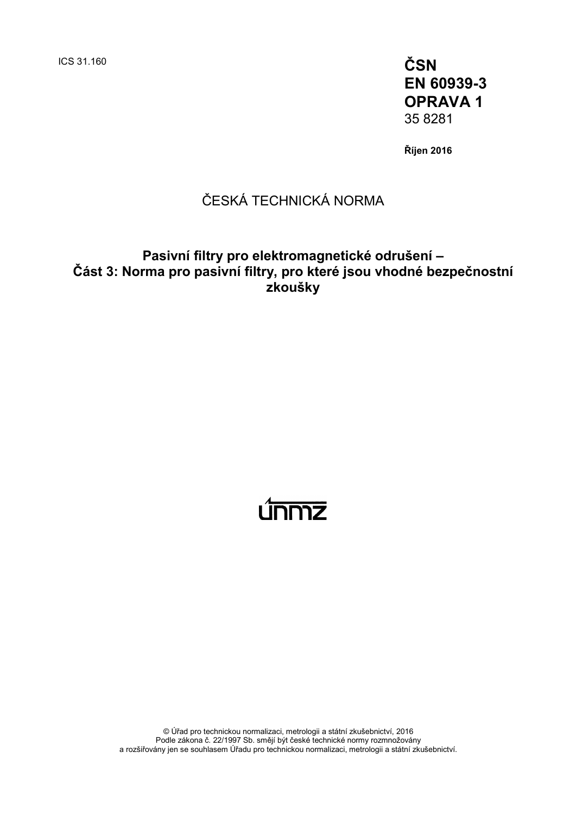ICS 31.160 **ČSN EN 60939-3 OPRAVA 1** 35 8281

**Říjen 2016**

### ČESKÁ TECHNICKÁ NORMA

#### **Pasivní filtry pro elektromagnetické odrušení – Část 3: Norma pro pasivní filtry, pro které jsou vhodné bezpečnostní zkoušky**

# <u>únmz</u>

© Úřad pro technickou normalizaci, metrologii a státní zkušebnictví, 2016 Podle zákona č. 22/1997 Sb. smějí být české technické normy rozmnožovány a rozšiřovány jen se souhlasem Úřadu pro technickou normalizaci, metrologii a státní zkušebnictví.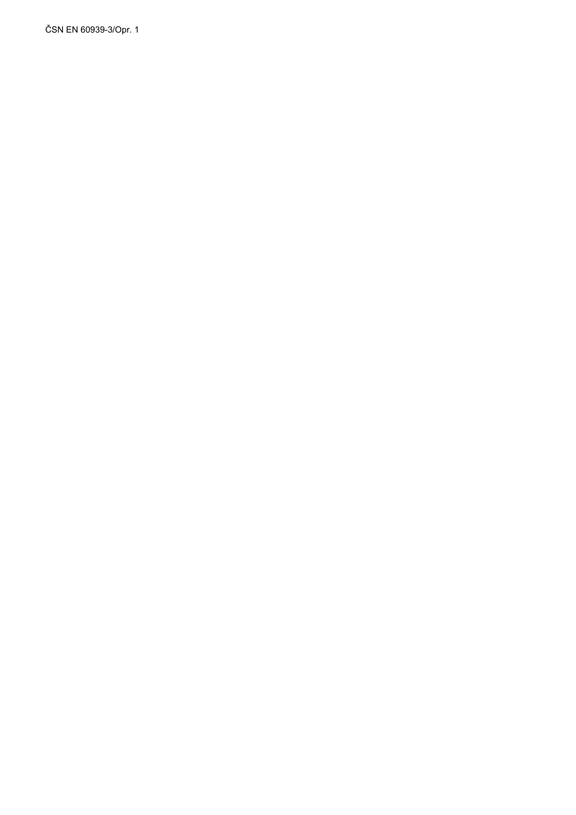ČSN EN 60939-3/Opr. 1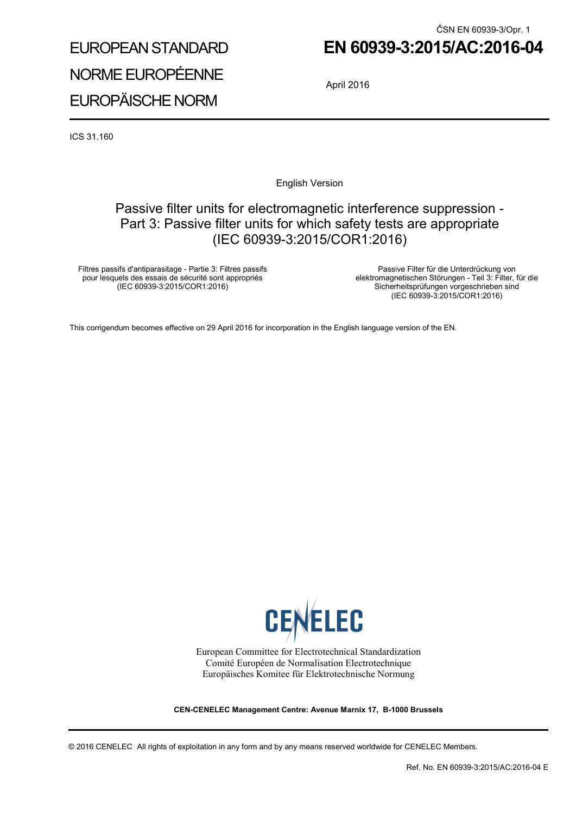## EUROPEAN STANDARD NORME EUROPÉENNE EUROPÄISCHE NORM



April 2016

ICS 31.160

English Version

#### Passive filter units for electromagnetic interference suppression - Part 3: Passive filter units for which safety tests are appropriate (IEC 60939-3:2015/COR1:2016)

Filtres passifs d'antiparasitage - Partie 3: Filtres passifs pour lesquels des essais de sécurité sont appropriés (IEC 60939-3:2015/COR1:2016)

Passive Filter für die Unterdrückung von elektromagnetischen Störungen - Teil 3: Filter, für die Sicherheitsprüfungen vorgeschrieben sind (IEC 60939-3:2015/COR1:2016)

This corrigendum becomes effective on 29 April 2016 for incorporation in the English language version of the EN.



European Committee for Electrotechnical Standardization Comité Européen de Normalisation Electrotechnique Europäisches Komitee für Elektrotechnische Normung

**CEN-CENELEC Management Centre: Avenue Marnix 17, B-1000 Brussels** 

© 2016 CENELEC All rights of exploitation in any form and by any means reserved worldwide for CENELEC Members.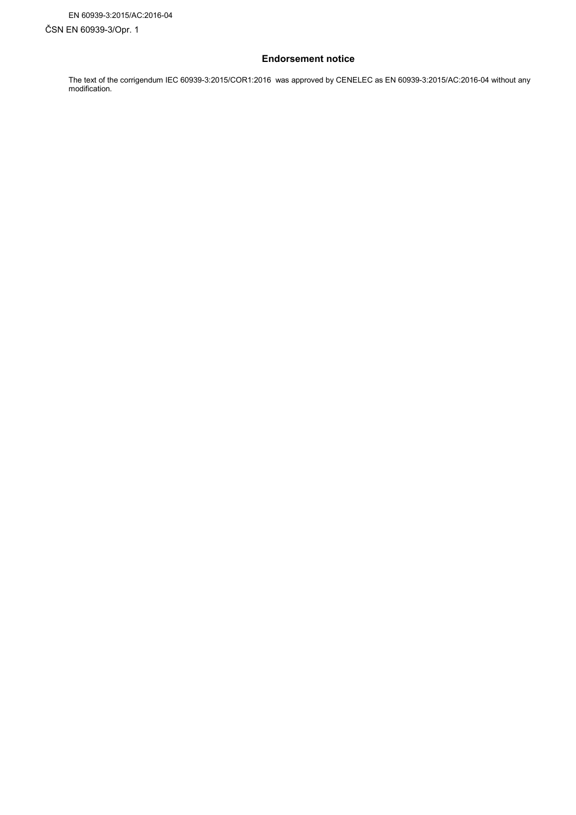EN 60939-3:2015/AC:2016-04

ČSN EN 60939-3/Opr. 1

#### **Endorsement notice**

The text of the corrigendum IEC 60939-3:2015/COR1:2016 was approved by CENELEC as EN 60939-3:2015/AC:2016-04 without any modification.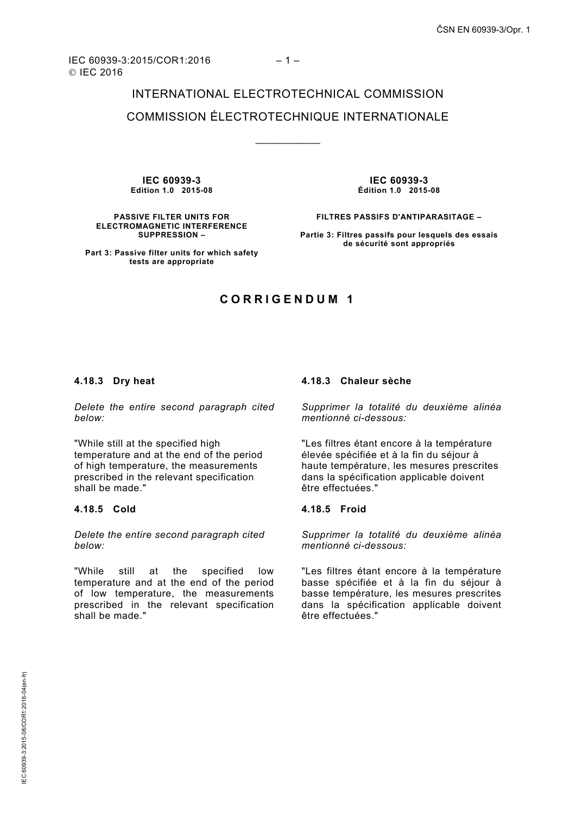IEC 60939-3:2015/COR1:2016 – 1 – © IEC 2016

#### INTERNATIONAL ELECTROTECHNICAL COMMISSION COMMISSION ÉLECTROTECHNIQUE INTERNATIONALE

 $\overline{\phantom{a}}$ 

**IEC 60939-3 Edition 1.0 2015-08**

**PASSIVE FILTER UNITS FOR ELECTROMAGNETIC INTERFERENCE SUPPRESSION –** 

**Part 3: Passive filter units for which safety tests are appropriate**

**IEC 60939-3 Édition 1.0 2015-08**

**FILTRES PASSIFS D'ANTIPARASITAGE –** 

**Partie 3: Filtres passifs pour lesquels des essais de sécurité sont appropriés**

#### **CORRIGENDUM 1**

*Delete the entire second paragraph cited below:* 

"While still at the specified high temperature and at the end of the period of high temperature, the measurements prescribed in the relevant specification shall be made."

#### **4.18.5 Cold**

*Delete the entire second paragraph cited below:*

"While still at the specified low temperature and at the end of the period of low temperature, the measurements prescribed in the relevant specification shall be made."

#### **4.18.3 Dry heat 4.18.3 Chaleur sèche**

*Supprimer la totalité du deuxième alinéa mentionné ci-dessous:*

"Les filtres étant encore à la température élevée spécifiée et à la fin du séjour à haute température, les mesures prescrites dans la spécification applicable doivent être effectuées."

#### **4.18.5 Froid**

*Supprimer la totalité du deuxième alinéa mentionné ci-dessous:*

"Les filtres étant encore à la température basse spécifiée et à la fin du séjour à basse température, les mesures prescrites dans la spécification applicable doivent être effectuées."